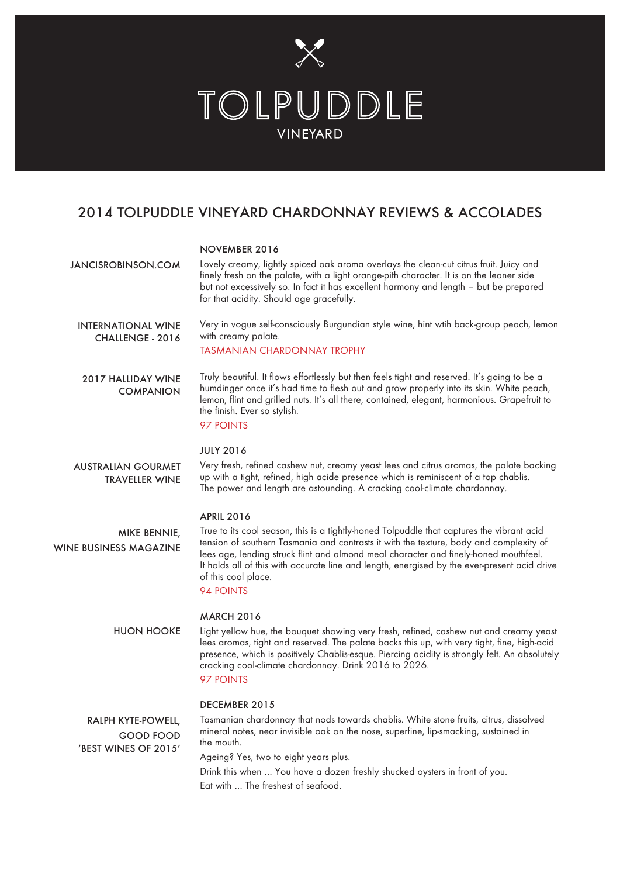

# 2014 TOLPUDDLE VINEYARD CHARDONNAY REVIEWS & ACCOLADES

### NOVEMBER 2016

| JANCISROBINSON.COM                                             | Lovely creamy, lightly spiced oak aroma overlays the clean-cut citrus fruit. Juicy and<br>finely fresh on the palate, with a light orange-pith character. It is on the leaner side<br>but not excessively so. In fact it has excellent harmony and length - but be prepared<br>for that acidity. Should age gracefully.                                                                                                                     |
|----------------------------------------------------------------|---------------------------------------------------------------------------------------------------------------------------------------------------------------------------------------------------------------------------------------------------------------------------------------------------------------------------------------------------------------------------------------------------------------------------------------------|
| <b>INTERNATIONAL WINE</b><br>CHALLENGE - 2016                  | Very in vogue self-consciously Burgundian style wine, hint wtih back-group peach, lemon<br>with creamy palate.<br><b>TASMANIAN CHARDONNAY TROPHY</b>                                                                                                                                                                                                                                                                                        |
| <b>2017 HALLIDAY WINE</b><br><b>COMPANION</b>                  | Truly beautiful. It flows effortlessly but then feels tight and reserved. It's going to be a<br>humdinger once it's had time to flesh out and grow properly into its skin. White peach,<br>lemon, flint and grilled nuts. It's all there, contained, elegant, harmonious. Grapefruit to<br>the finish. Ever so stylish.<br>97 POINTS                                                                                                        |
| <b>AUSTRALIAN GOURMET</b><br><b>TRAVELLER WINE</b>             | <b>JULY 2016</b><br>Very fresh, refined cashew nut, creamy yeast lees and citrus aromas, the palate backing<br>up with a tight, refined, high acide presence which is reminiscent of a top chablis.<br>The power and length are astounding. A cracking cool-climate chardonnay.                                                                                                                                                             |
| <b>MIKE BENNIE,</b><br>WINE BUSINESS MAGAZINE                  | <b>APRIL 2016</b><br>True to its cool season, this is a tightly-honed Tolpuddle that captures the vibrant acid<br>tension of southern Tasmania and contrasts it with the texture, body and complexity of<br>lees age, lending struck flint and almond meal character and finely-honed mouthfeel.<br>It holds all of this with accurate line and length, energised by the ever-present acid drive<br>of this cool place.<br><b>94 POINTS</b> |
| <b>HUON HOOKE</b>                                              | <b>MARCH 2016</b><br>Light yellow hue, the bouquet showing very fresh, refined, cashew nut and creamy yeast<br>lees aromas, tight and reserved. The palate backs this up, with very tight, fine, high-acid<br>presence, which is positively Chablis-esque. Piercing acidity is strongly felt. An absolutely<br>cracking cool-climate chardonnay. Drink 2016 to 2026.<br>97 POINTS                                                           |
| RALPH KYTE-POWELL,<br><b>GOOD FOOD</b><br>'BEST WINES OF 2015' | DECEMBER 2015<br>Tasmanian chardonnay that nods towards chablis. White stone fruits, citrus, dissolved<br>mineral notes, near invisible oak on the nose, superfine, lip-smacking, sustained in<br>the mouth.<br>Ageing? Yes, two to eight years plus.<br>Drink this when  You have a dozen freshly shucked oysters in front of you.                                                                                                         |

Eat with … The freshest of seafood.